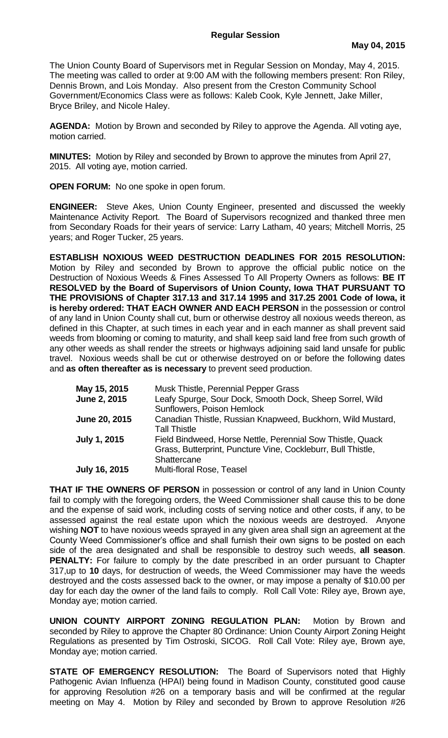The Union County Board of Supervisors met in Regular Session on Monday, May 4, 2015. The meeting was called to order at 9:00 AM with the following members present: Ron Riley, Dennis Brown, and Lois Monday. Also present from the Creston Community School Government/Economics Class were as follows: Kaleb Cook, Kyle Jennett, Jake Miller, Bryce Briley, and Nicole Haley.

**AGENDA:** Motion by Brown and seconded by Riley to approve the Agenda. All voting aye, motion carried.

**MINUTES:** Motion by Riley and seconded by Brown to approve the minutes from April 27, 2015. All voting aye, motion carried.

**OPEN FORUM:** No one spoke in open forum.

**ENGINEER:** Steve Akes, Union County Engineer, presented and discussed the weekly Maintenance Activity Report. The Board of Supervisors recognized and thanked three men from Secondary Roads for their years of service: Larry Latham, 40 years; Mitchell Morris, 25 years; and Roger Tucker, 25 years.

**ESTABLISH NOXIOUS WEED DESTRUCTION DEADLINES FOR 2015 RESOLUTION:**  Motion by Riley and seconded by Brown to approve the official public notice on the Destruction of Noxious Weeds & Fines Assessed To All Property Owners as follows: **BE IT RESOLVED by the Board of Supervisors of Union County, Iowa THAT PURSUANT TO THE PROVISIONS of Chapter 317.13 and 317.14 1995 and 317.25 2001 Code of Iowa, it is hereby ordered: THAT EACH OWNER AND EACH PERSON** in the possession or control of any land in Union County shall cut, burn or otherwise destroy all noxious weeds thereon, as defined in this Chapter, at such times in each year and in each manner as shall prevent said weeds from blooming or coming to maturity, and shall keep said land free from such growth of any other weeds as shall render the streets or highways adjoining said land unsafe for public travel. Noxious weeds shall be cut or otherwise destroyed on or before the following dates and **as often thereafter as is necessary** to prevent seed production.

| May 15, 2015         | Musk Thistle, Perennial Pepper Grass                                                                                                      |
|----------------------|-------------------------------------------------------------------------------------------------------------------------------------------|
| June 2, 2015         | Leafy Spurge, Sour Dock, Smooth Dock, Sheep Sorrel, Wild<br>Sunflowers, Poison Hemlock                                                    |
| June 20, 2015        | Canadian Thistle, Russian Knapweed, Buckhorn, Wild Mustard,<br><b>Tall Thistle</b>                                                        |
| <b>July 1, 2015</b>  | Field Bindweed, Horse Nettle, Perennial Sow Thistle, Quack<br>Grass, Butterprint, Puncture Vine, Cockleburr, Bull Thistle,<br>Shattercane |
| <b>July 16, 2015</b> | <b>Multi-floral Rose, Teasel</b>                                                                                                          |

**THAT IF THE OWNERS OF PERSON** in possession or control of any land in Union County fail to comply with the foregoing orders, the Weed Commissioner shall cause this to be done and the expense of said work, including costs of serving notice and other costs, if any, to be assessed against the real estate upon which the noxious weeds are destroyed. Anyone wishing **NOT** to have noxious weeds sprayed in any given area shall sign an agreement at the County Weed Commissioner's office and shall furnish their own signs to be posted on each side of the area designated and shall be responsible to destroy such weeds, **all season**. **PENALTY:** For failure to comply by the date prescribed in an order pursuant to Chapter 317,up to **10** days, for destruction of weeds, the Weed Commissioner may have the weeds destroyed and the costs assessed back to the owner, or may impose a penalty of \$10.00 per day for each day the owner of the land fails to comply. Roll Call Vote: Riley aye, Brown aye, Monday aye; motion carried.

**UNION COUNTY AIRPORT ZONING REGULATION PLAN:** Motion by Brown and seconded by Riley to approve the Chapter 80 Ordinance: Union County Airport Zoning Height Regulations as presented by Tim Ostroski, SICOG. Roll Call Vote: Riley aye, Brown aye, Monday aye; motion carried.

**STATE OF EMERGENCY RESOLUTION:** The Board of Supervisors noted that Highly Pathogenic Avian Influenza (HPAI) being found in Madison County, constituted good cause for approving Resolution #26 on a temporary basis and will be confirmed at the regular meeting on May 4. Motion by Riley and seconded by Brown to approve Resolution #26